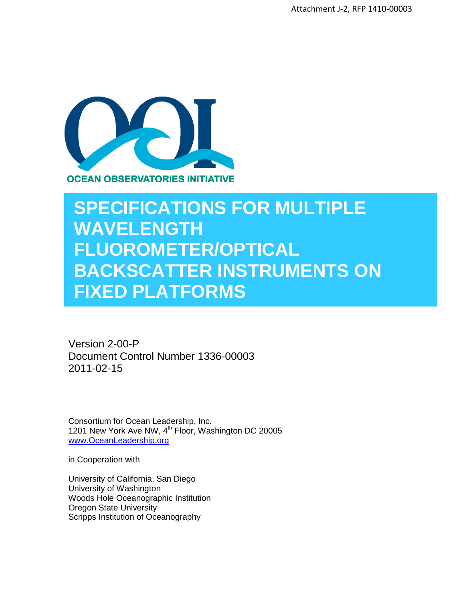

# **SPECIFICATIONS FOR MULTIPLE WAVELENGTH FLUOROMETER/OPTICAL BACKSCATTER INSTRUMENTS ON FIXED PLATFORMS**

Version 2-00-P Document Control Number 1336-00003 2011-02-15

Consortium for Ocean Leadership, Inc. 1201 New York Ave NW, 4<sup>th</sup> Floor, Washington DC 20005 [www.OceanLeadership.org](http://www.oceanleadership.org/)

in Cooperation with

University of California, San Diego University of Washington Woods Hole Oceanographic Institution Oregon State University Scripps Institution of Oceanography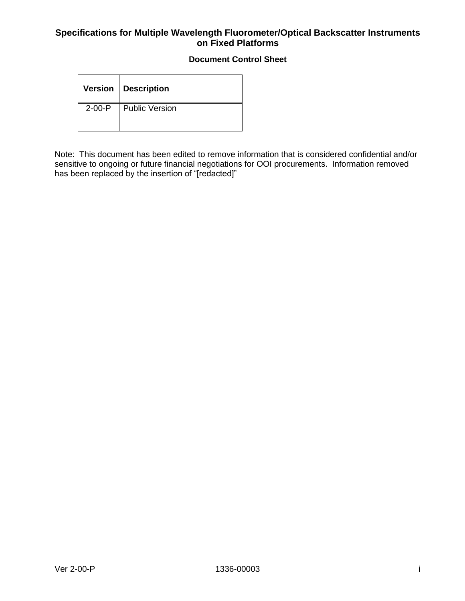#### **Document Control Sheet**

|          | Version   Description |
|----------|-----------------------|
| $2-00-P$ | Ⅰ Public Version      |

Note: This document has been edited to remove information that is considered confidential and/or sensitive to ongoing or future financial negotiations for OOI procurements. Information removed has been replaced by the insertion of "[redacted]"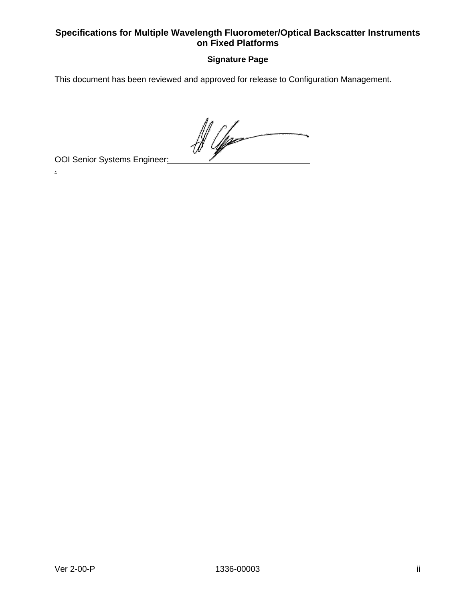## **Signature Page**

This document has been reviewed and approved for release to Configuration Management.

 $\frac{1}{\sqrt{2\pi}}\int d^3x\sqrt{\frac{1}{2(1-x^2)}}\left(\frac{1}{\sqrt{2\pi}}\right)^{3/2}d^3x$ 

OOI Senior Systems Engineer:

.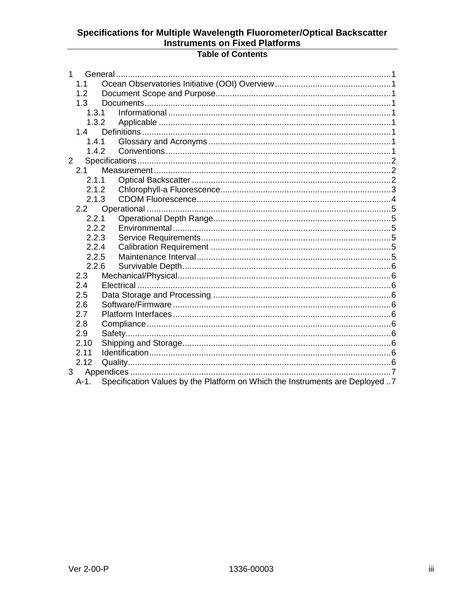# **Table of Contents**

| $\mathbf{1}$   |            |                                                                              |  |  |  |  |  |  |
|----------------|------------|------------------------------------------------------------------------------|--|--|--|--|--|--|
|                | 1.1        |                                                                              |  |  |  |  |  |  |
|                | 1.2        |                                                                              |  |  |  |  |  |  |
|                | 1.3        |                                                                              |  |  |  |  |  |  |
|                | 1.3.1      |                                                                              |  |  |  |  |  |  |
|                | 1.3.2      |                                                                              |  |  |  |  |  |  |
|                | 1.4        |                                                                              |  |  |  |  |  |  |
|                | 1.4.1      |                                                                              |  |  |  |  |  |  |
|                | 1.4.2      |                                                                              |  |  |  |  |  |  |
| $2^{\circ}$    |            |                                                                              |  |  |  |  |  |  |
|                | 2.1        |                                                                              |  |  |  |  |  |  |
|                | 2.1.1      |                                                                              |  |  |  |  |  |  |
|                | 2.1.2      |                                                                              |  |  |  |  |  |  |
|                | 2.1.3      |                                                                              |  |  |  |  |  |  |
|                | 2.2        |                                                                              |  |  |  |  |  |  |
|                | 2.2.1      |                                                                              |  |  |  |  |  |  |
|                | 2.2.2      |                                                                              |  |  |  |  |  |  |
|                | 2.2.3      |                                                                              |  |  |  |  |  |  |
|                | 2.2.4      |                                                                              |  |  |  |  |  |  |
|                | 2.2.5      |                                                                              |  |  |  |  |  |  |
|                | 2.2.6      |                                                                              |  |  |  |  |  |  |
|                | 2.3        |                                                                              |  |  |  |  |  |  |
|                | 2.4        |                                                                              |  |  |  |  |  |  |
|                | 2.5        |                                                                              |  |  |  |  |  |  |
|                | 2.6        |                                                                              |  |  |  |  |  |  |
|                | 2.7<br>2.8 |                                                                              |  |  |  |  |  |  |
|                | 2.9        |                                                                              |  |  |  |  |  |  |
|                | 2.10       |                                                                              |  |  |  |  |  |  |
|                | 2.11       |                                                                              |  |  |  |  |  |  |
|                | 2.12       |                                                                              |  |  |  |  |  |  |
| 3 <sup>7</sup> |            |                                                                              |  |  |  |  |  |  |
|                | A-1.       | Specification Values by the Platform on Which the Instruments are Deployed 7 |  |  |  |  |  |  |
|                |            |                                                                              |  |  |  |  |  |  |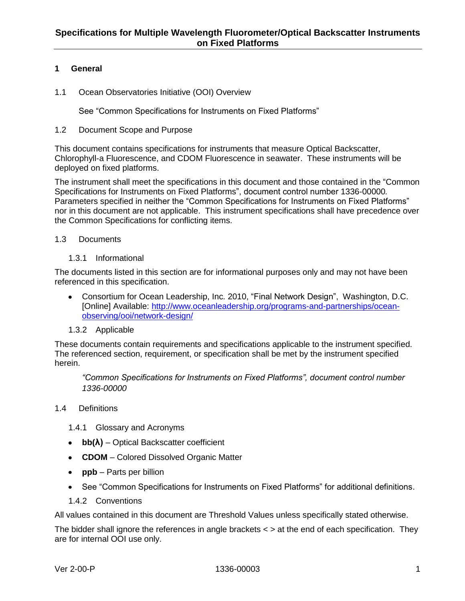#### <span id="page-4-0"></span>**1 General**

<span id="page-4-1"></span>1.1 Ocean Observatories Initiative (OOI) Overview

See "Common Specifications for Instruments on Fixed Platforms"

#### <span id="page-4-2"></span>1.2 Document Scope and Purpose

This document contains specifications for instruments that measure Optical Backscatter, Chlorophyll-a Fluorescence, and CDOM Fluorescence in seawater. These instruments will be deployed on fixed platforms.

The instrument shall meet the specifications in this document and those contained in the "Common Specifications for Instruments on Fixed Platforms", document control number 1336-00000*.* Parameters specified in neither the "Common Specifications for Instruments on Fixed Platforms" nor in this document are not applicable. This instrument specifications shall have precedence over the Common Specifications for conflicting items.

#### <span id="page-4-3"></span>1.3 Documents

1.3.1 Informational

<span id="page-4-4"></span>The documents listed in this section are for informational purposes only and may not have been referenced in this specification.

- Consortium for Ocean Leadership, Inc. 2010, "Final Network Design", Washington, D.C. [Online] Available: [http://www.oceanleadership.org/programs-and-partnerships/ocean](http://www.oceanleadership.org/programs-and-partnerships/ocean-observing/ooi/network-design/)[observing/ooi/network-design/](http://www.oceanleadership.org/programs-and-partnerships/ocean-observing/ooi/network-design/)
- 1.3.2 Applicable

<span id="page-4-5"></span>These documents contain requirements and specifications applicable to the instrument specified. The referenced section, requirement, or specification shall be met by the instrument specified herein.

*"Common Specifications for Instruments on Fixed Platforms", document control number 1336-00000*

#### <span id="page-4-6"></span>1.4 Definitions

<span id="page-4-7"></span>1.4.1 Glossary and Acronyms

- **bb(λ)** Optical Backscatter coefficient
- **CDOM** Colored Dissolved Organic Matter
- **ppb** Parts per billion
- See "Common Specifications for Instruments on Fixed Platforms" for additional definitions.
- 1.4.2 Conventions

<span id="page-4-8"></span>All values contained in this document are Threshold Values unless specifically stated otherwise.

The bidder shall ignore the references in angle brackets  $\lt$  > at the end of each specification. They are for internal OOI use only.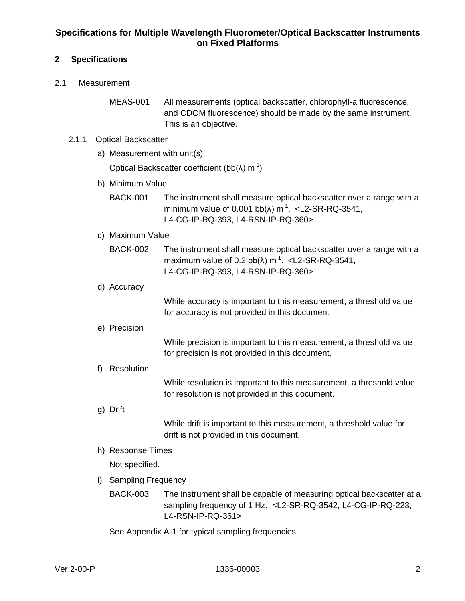#### <span id="page-5-0"></span>**2 Specifications**

#### <span id="page-5-1"></span>2.1 Measurement

MEAS-001 All measurements (optical backscatter, chlorophyll-a fluorescence, and CDOM fluorescence) should be made by the same instrument. This is an objective.

#### <span id="page-5-2"></span>2.1.1 Optical Backscatter

a) Measurement with unit(s)

Optical Backscatter coefficient (bb(λ) m<sup>-1</sup>)

- b) Minimum Value
	- BACK-001 The instrument shall measure optical backscatter over a range with a minimum value of  $0.001$  bb( $\lambda$ ) m<sup>-1</sup>. < L2-SR-RQ-3541, L4-CG-IP-RQ-393, L4-RSN-IP-RQ-360>
- c) Maximum Value
	- BACK-002 The instrument shall measure optical backscatter over a range with a maximum value of  $0.2$  bb( $\lambda$ ) m<sup>-1</sup>. < L2-SR-RQ-3541, L4-CG-IP-RQ-393, L4-RSN-IP-RQ-360>
- d) Accuracy

While accuracy is important to this measurement, a threshold value for accuracy is not provided in this document

e) Precision

While precision is important to this measurement, a threshold value for precision is not provided in this document.

f) Resolution

While resolution is important to this measurement, a threshold value for resolution is not provided in this document.

g) Drift

While drift is important to this measurement, a threshold value for drift is not provided in this document.

h) Response Times

Not specified.

- i) Sampling Frequency
	- BACK-003 The instrument shall be capable of measuring optical backscatter at a sampling frequency of 1 Hz. <L2-SR-RQ-3542, L4-CG-IP-RQ-223, L4-RSN-IP-RQ-361>

See Appendix A-1 for typical sampling frequencies.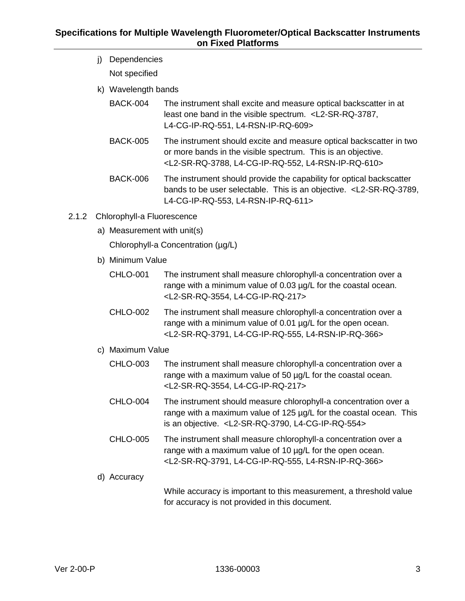- j) Dependencies Not specified
- k) Wavelength bands
	- BACK-004 The instrument shall excite and measure optical backscatter in at least one band in the visible spectrum. <L2-SR-RQ-3787, L4-CG-IP-RQ-551, L4-RSN-IP-RQ-609>
	- BACK-005 The instrument should excite and measure optical backscatter in two or more bands in the visible spectrum. This is an objective. <L2-SR-RQ-3788, L4-CG-IP-RQ-552, L4-RSN-IP-RQ-610>
	- BACK-006 The instrument should provide the capability for optical backscatter bands to be user selectable. This is an objective. <L2-SR-RQ-3789, L4-CG-IP-RQ-553, L4-RSN-IP-RQ-611>
- <span id="page-6-0"></span>2.1.2 Chlorophyll-a Fluorescence
	- a) Measurement with unit(s)

Chlorophyll-a Concentration (µg/L)

- b) Minimum Value
	- CHLO-001 The instrument shall measure chlorophyll-a concentration over a range with a minimum value of 0.03  $\mu$ g/L for the coastal ocean. <L2-SR-RQ-3554, L4-CG-IP-RQ-217>
	- CHLO-002 The instrument shall measure chlorophyll-a concentration over a range with a minimum value of 0.01  $\mu$ g/L for the open ocean. <L2-SR-RQ-3791, L4-CG-IP-RQ-555, L4-RSN-IP-RQ-366>
- c) Maximum Value
	- CHLO-003 The instrument shall measure chlorophyll-a concentration over a range with a maximum value of 50 µg/L for the coastal ocean. <L2-SR-RQ-3554, L4-CG-IP-RQ-217>
	- CHLO-004 The instrument should measure chlorophyll-a concentration over a range with a maximum value of 125 µg/L for the coastal ocean. This is an objective. <L2-SR-RQ-3790, L4-CG-IP-RQ-554>
	- CHLO-005 The instrument shall measure chlorophyll-a concentration over a range with a maximum value of 10 µg/L for the open ocean. <L2-SR-RQ-3791, L4-CG-IP-RQ-555, L4-RSN-IP-RQ-366>
- d) Accuracy

While accuracy is important to this measurement, a threshold value for accuracy is not provided in this document.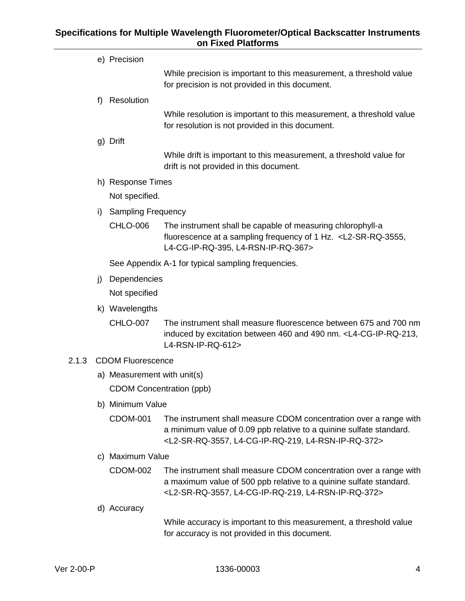<span id="page-7-0"></span>

|       |                          | e) Precision                    |                                                                                                                                                                                                                       |  |  |  |  |  |  |  |
|-------|--------------------------|---------------------------------|-----------------------------------------------------------------------------------------------------------------------------------------------------------------------------------------------------------------------|--|--|--|--|--|--|--|
|       |                          |                                 | While precision is important to this measurement, a threshold value<br>for precision is not provided in this document.                                                                                                |  |  |  |  |  |  |  |
|       | f)                       | Resolution                      |                                                                                                                                                                                                                       |  |  |  |  |  |  |  |
|       |                          |                                 | While resolution is important to this measurement, a threshold value<br>for resolution is not provided in this document.                                                                                              |  |  |  |  |  |  |  |
|       |                          | g) Drift                        |                                                                                                                                                                                                                       |  |  |  |  |  |  |  |
|       |                          |                                 | While drift is important to this measurement, a threshold value for<br>drift is not provided in this document.                                                                                                        |  |  |  |  |  |  |  |
|       |                          | h) Response Times               |                                                                                                                                                                                                                       |  |  |  |  |  |  |  |
|       |                          | Not specified.                  |                                                                                                                                                                                                                       |  |  |  |  |  |  |  |
|       | i)                       | <b>Sampling Frequency</b>       |                                                                                                                                                                                                                       |  |  |  |  |  |  |  |
|       |                          | <b>CHLO-006</b>                 | The instrument shall be capable of measuring chlorophyll-a<br>fluorescence at a sampling frequency of 1 Hz. <l2-sr-rq-3555,<br>L4-CG-IP-RQ-395, L4-RSN-IP-RQ-367&gt;</l2-sr-rq-3555,<br>                              |  |  |  |  |  |  |  |
|       |                          |                                 | See Appendix A-1 for typical sampling frequencies.                                                                                                                                                                    |  |  |  |  |  |  |  |
|       | j)                       | Dependencies                    |                                                                                                                                                                                                                       |  |  |  |  |  |  |  |
|       |                          | Not specified                   |                                                                                                                                                                                                                       |  |  |  |  |  |  |  |
|       |                          | k) Wavelengths                  |                                                                                                                                                                                                                       |  |  |  |  |  |  |  |
|       |                          | <b>CHLO-007</b>                 | The instrument shall measure fluorescence between 675 and 700 nm<br>induced by excitation between 460 and 490 nm. <l4-cg-ip-rq-213,<br>L4-RSN-IP-RQ-612&gt;</l4-cg-ip-rq-213,<br>                                     |  |  |  |  |  |  |  |
| 2.1.3 | <b>CDOM Fluorescence</b> |                                 |                                                                                                                                                                                                                       |  |  |  |  |  |  |  |
|       |                          | a) Measurement with unit(s)     |                                                                                                                                                                                                                       |  |  |  |  |  |  |  |
|       |                          | <b>CDOM Concentration (ppb)</b> |                                                                                                                                                                                                                       |  |  |  |  |  |  |  |
|       |                          | b) Minimum Value                |                                                                                                                                                                                                                       |  |  |  |  |  |  |  |
|       |                          | <b>CDOM-001</b>                 | The instrument shall measure CDOM concentration over a range with<br>a minimum value of 0.09 ppb relative to a quinine sulfate standard.<br><l2-sr-rq-3557, l4-cg-ip-rq-219,="" l4-rsn-ip-rq-372=""></l2-sr-rq-3557,> |  |  |  |  |  |  |  |
|       |                          | c) Maximum Value                |                                                                                                                                                                                                                       |  |  |  |  |  |  |  |
|       |                          | <b>CDOM-002</b>                 | The instrument shall measure CDOM concentration over a range with<br>a maximum value of 500 ppb relative to a quinine sulfate standard.<br><l2-sr-rq-3557, l4-cg-ip-rq-219,="" l4-rsn-ip-rq-372=""></l2-sr-rq-3557,>  |  |  |  |  |  |  |  |
|       |                          | d) Accuracy                     |                                                                                                                                                                                                                       |  |  |  |  |  |  |  |
|       |                          |                                 | While accuracy is important to this measurement, a threshold value<br>for accuracy is not provided in this document.                                                                                                  |  |  |  |  |  |  |  |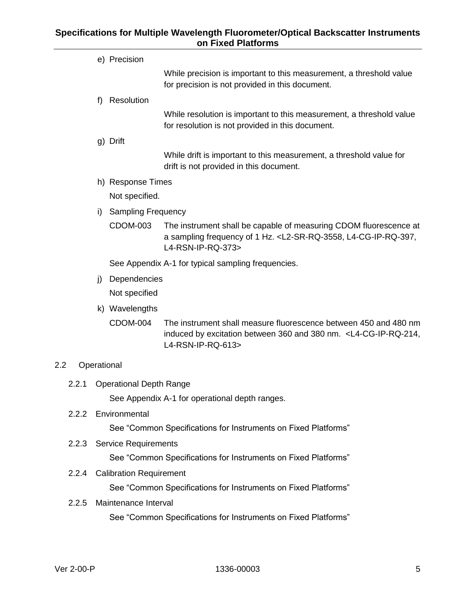|       |               | e) Precision                   |                                                                                                                                                                                   |  |  |  |  |  |  |
|-------|---------------|--------------------------------|-----------------------------------------------------------------------------------------------------------------------------------------------------------------------------------|--|--|--|--|--|--|
|       |               |                                | While precision is important to this measurement, a threshold value<br>for precision is not provided in this document.                                                            |  |  |  |  |  |  |
|       | f)            | Resolution                     |                                                                                                                                                                                   |  |  |  |  |  |  |
|       |               |                                | While resolution is important to this measurement, a threshold value<br>for resolution is not provided in this document.                                                          |  |  |  |  |  |  |
|       |               | g) Drift                       |                                                                                                                                                                                   |  |  |  |  |  |  |
|       |               |                                | While drift is important to this measurement, a threshold value for<br>drift is not provided in this document.                                                                    |  |  |  |  |  |  |
|       |               | h) Response Times              |                                                                                                                                                                                   |  |  |  |  |  |  |
|       |               | Not specified.                 |                                                                                                                                                                                   |  |  |  |  |  |  |
|       | i)            | <b>Sampling Frequency</b>      |                                                                                                                                                                                   |  |  |  |  |  |  |
|       |               | <b>CDOM-003</b>                | The instrument shall be capable of measuring CDOM fluorescence at<br>a sampling frequency of 1 Hz. <l2-sr-rq-3558, l4-cg-ip-rq-397,<br="">L4-RSN-IP-RQ-373&gt;</l2-sr-rq-3558,>   |  |  |  |  |  |  |
|       |               |                                | See Appendix A-1 for typical sampling frequencies.                                                                                                                                |  |  |  |  |  |  |
|       | j)            | Dependencies                   |                                                                                                                                                                                   |  |  |  |  |  |  |
|       |               | Not specified                  |                                                                                                                                                                                   |  |  |  |  |  |  |
|       |               | k) Wavelengths                 |                                                                                                                                                                                   |  |  |  |  |  |  |
|       |               | <b>CDOM-004</b>                | The instrument shall measure fluorescence between 450 and 480 nm<br>induced by excitation between 360 and 380 nm. <l4-cg-ip-rq-214,<br>L4-RSN-IP-RQ-613&gt;</l4-cg-ip-rq-214,<br> |  |  |  |  |  |  |
| 2.2   | Operational   |                                |                                                                                                                                                                                   |  |  |  |  |  |  |
| 2.2.1 |               | <b>Operational Depth Range</b> |                                                                                                                                                                                   |  |  |  |  |  |  |
|       |               |                                | See Appendix A-1 for operational depth ranges.                                                                                                                                    |  |  |  |  |  |  |
| 2.2.2 | Environmental |                                |                                                                                                                                                                                   |  |  |  |  |  |  |
|       |               |                                | See "Common Specifications for Instruments on Fixed Platforms"                                                                                                                    |  |  |  |  |  |  |
|       |               | 2.2.3 Service Requirements     |                                                                                                                                                                                   |  |  |  |  |  |  |
|       |               |                                | See "Common Specifications for Instruments on Fixed Platforms"                                                                                                                    |  |  |  |  |  |  |
|       |               |                                |                                                                                                                                                                                   |  |  |  |  |  |  |

<span id="page-8-4"></span><span id="page-8-3"></span><span id="page-8-2"></span><span id="page-8-1"></span><span id="page-8-0"></span>2.2.4 Calibration Requirement

See "Common Specifications for Instruments on Fixed Platforms"

<span id="page-8-5"></span>2.2.5 Maintenance Interval

See "Common Specifications for Instruments on Fixed Platforms"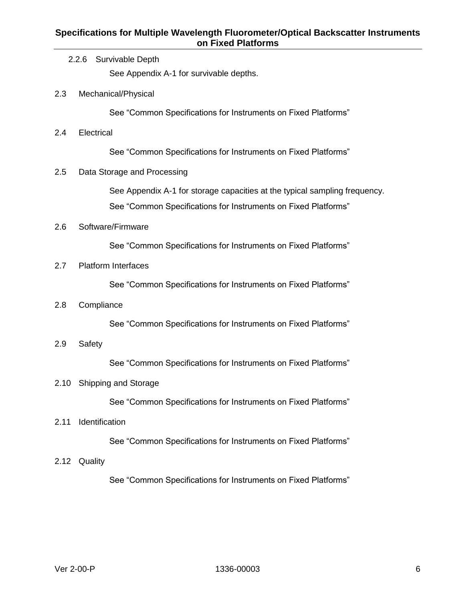<span id="page-9-10"></span><span id="page-9-9"></span><span id="page-9-8"></span><span id="page-9-7"></span><span id="page-9-6"></span><span id="page-9-5"></span><span id="page-9-4"></span><span id="page-9-3"></span><span id="page-9-2"></span><span id="page-9-1"></span><span id="page-9-0"></span>

|      |                             | 2.2.6 Survivable Depth<br>See Appendix A-1 for survivable depths.                                                                            |  |  |  |  |  |  |  |  |  |  |
|------|-----------------------------|----------------------------------------------------------------------------------------------------------------------------------------------|--|--|--|--|--|--|--|--|--|--|
| 2.3  |                             | Mechanical/Physical                                                                                                                          |  |  |  |  |  |  |  |  |  |  |
|      |                             | See "Common Specifications for Instruments on Fixed Platforms"                                                                               |  |  |  |  |  |  |  |  |  |  |
| 2.4  |                             | Electrical                                                                                                                                   |  |  |  |  |  |  |  |  |  |  |
|      |                             | See "Common Specifications for Instruments on Fixed Platforms"                                                                               |  |  |  |  |  |  |  |  |  |  |
| 2.5  | Data Storage and Processing |                                                                                                                                              |  |  |  |  |  |  |  |  |  |  |
|      |                             | See Appendix A-1 for storage capacities at the typical sampling frequency.<br>See "Common Specifications for Instruments on Fixed Platforms" |  |  |  |  |  |  |  |  |  |  |
| 2.6  |                             | Software/Firmware                                                                                                                            |  |  |  |  |  |  |  |  |  |  |
|      |                             | See "Common Specifications for Instruments on Fixed Platforms"                                                                               |  |  |  |  |  |  |  |  |  |  |
| 2.7  |                             | <b>Platform Interfaces</b>                                                                                                                   |  |  |  |  |  |  |  |  |  |  |
|      |                             | See "Common Specifications for Instruments on Fixed Platforms"                                                                               |  |  |  |  |  |  |  |  |  |  |
| 2.8  |                             | Compliance                                                                                                                                   |  |  |  |  |  |  |  |  |  |  |
|      |                             | See "Common Specifications for Instruments on Fixed Platforms"                                                                               |  |  |  |  |  |  |  |  |  |  |
| 2.9  | Safety                      |                                                                                                                                              |  |  |  |  |  |  |  |  |  |  |
|      |                             | See "Common Specifications for Instruments on Fixed Platforms"                                                                               |  |  |  |  |  |  |  |  |  |  |
| 2.10 | <b>Shipping and Storage</b> |                                                                                                                                              |  |  |  |  |  |  |  |  |  |  |
|      |                             | See "Common Specifications for Instruments on Fixed Platforms"                                                                               |  |  |  |  |  |  |  |  |  |  |
| 2.11 | Identification              |                                                                                                                                              |  |  |  |  |  |  |  |  |  |  |
|      |                             | See "Common Specifications for Instruments on Fixed Platforms"                                                                               |  |  |  |  |  |  |  |  |  |  |
| 2.12 | Quality                     |                                                                                                                                              |  |  |  |  |  |  |  |  |  |  |
|      |                             | See "Common Specifications for Instruments on Fixed Platforms"                                                                               |  |  |  |  |  |  |  |  |  |  |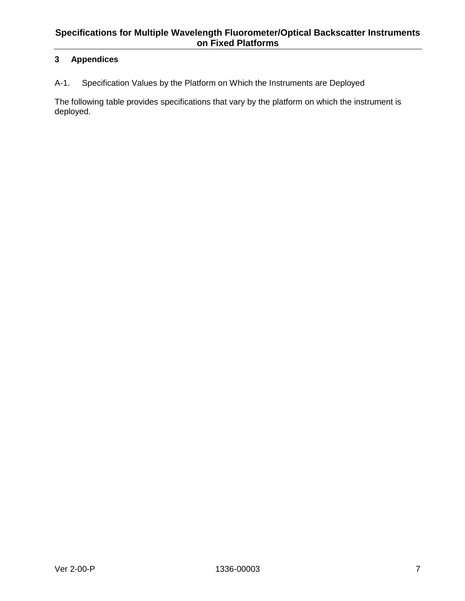# <span id="page-10-0"></span>**3 Appendices**

<span id="page-10-1"></span>A-1. Specification Values by the Platform on Which the Instruments are Deployed

The following table provides specifications that vary by the platform on which the instrument is deployed.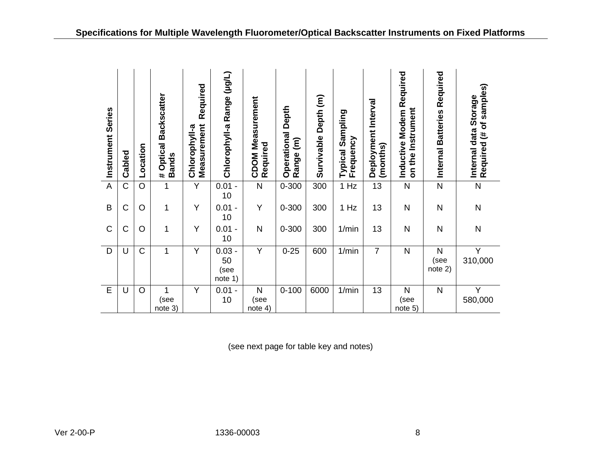|            | Instrument Series | Cabled         | Location       | # Optical Backscatter<br>Bands   | Required<br>Chlorophyll-a<br>Measurement | Chlorophyll-a Range (µg/L)        | <b>CDOM Measurement</b><br>Required     | Operational Depth<br>Range (m) | Survivable Depth (m) | Typical Sampling<br>Frequency | Deployment Interval<br>(months) | Inductive Modem Required<br>on the Instrument | Internal Batteries Required     | Required (# of samples)<br>Internal data Storage |
|------------|-------------------|----------------|----------------|----------------------------------|------------------------------------------|-----------------------------------|-----------------------------------------|--------------------------------|----------------------|-------------------------------|---------------------------------|-----------------------------------------------|---------------------------------|--------------------------------------------------|
|            | $\overline{A}$    | $\overline{C}$ | $\overline{O}$ | $\overline{1}$                   | $\overline{Y}$                           | $0.01 -$<br>10                    | $\overline{\mathsf{N}}$                 | $0 - 300$                      | 300                  | 1 Hz                          | $\overline{13}$                 | $\overline{N}$                                | $\overline{\mathsf{N}}$         | $\overline{N}$                                   |
|            | $\overline{B}$    | $\mathsf C$    | $\circ$        | $\mathbf 1$                      | Υ                                        | $0.01 -$<br>10                    | Υ                                       | $0 - 300$                      | 300                  | 1 Hz                          | 13                              | N                                             | $\mathsf{N}$                    | $\overline{\mathsf{N}}$                          |
|            | $\mathsf C$       | $\mathsf C$    | $\circ$        | $\mathbf{1}$                     | Υ                                        | $0.01 -$<br>10                    | ${\sf N}$                               | $0 - 300$                      | 300                  | 1/min                         | 13                              | $\overline{N}$                                | ${\sf N}$                       | $\overline{\mathsf{N}}$                          |
|            | $\overline{D}$    | U              | $\overline{C}$ | $\mathbf 1$                      | $\overline{Y}$                           | $0.03 -$<br>50<br>(see<br>note 1) | $\overline{Y}$                          | $0 - 25$                       | 600                  | 1/min                         | $\overline{7}$                  | $\overline{N}$                                | $\mathsf{N}$<br>(see<br>note 2) | $\overline{Y}$<br>310,000                        |
|            | $\overline{E}$    | U              | $\overline{O}$ | $\mathbf 1$<br>(see<br>$note$ 3) | $\overline{Y}$                           | $0.01 -$<br>10                    | N<br>(see<br>note 4)                    | $0 - 100$                      | 6000                 | 1/min                         | $\overline{13}$                 | $\overline{\mathsf{N}}$<br>(see<br>note 5)    | $\overline{\mathsf{N}}$         | $\overline{Y}$<br>580,000                        |
|            |                   |                |                |                                  |                                          |                                   | (see next page for table key and notes) |                                |                      |                               |                                 |                                               |                                 |                                                  |
| Ver 2-00-P |                   |                |                |                                  |                                          | 1336-00003                        |                                         |                                |                      |                               |                                 | 8                                             |                                 |                                                  |